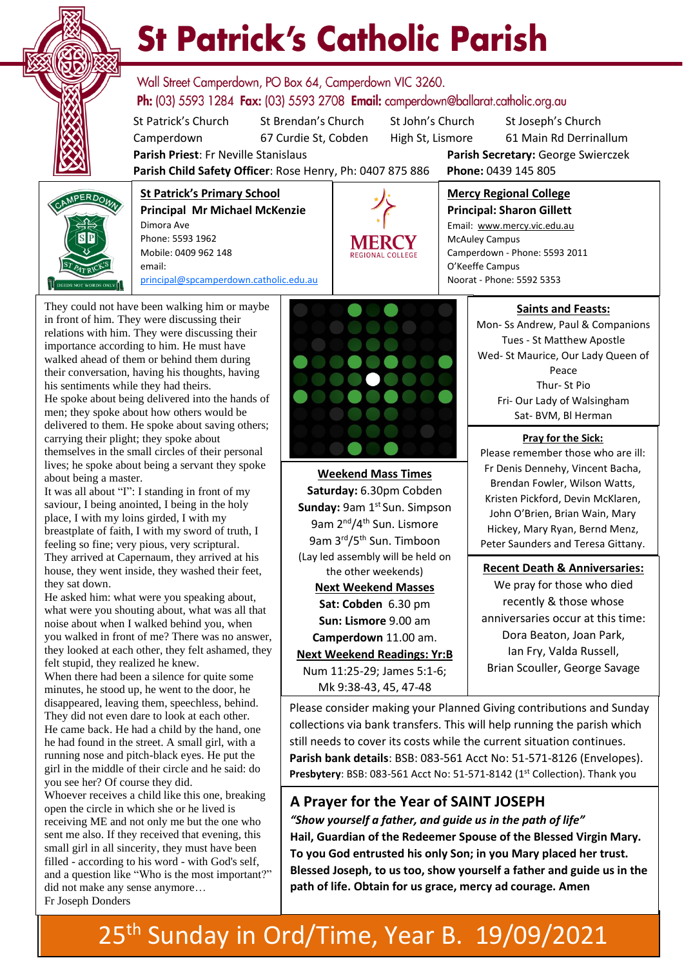

# **St Patrick's Catholic Parish**

Wall Street Camperdown, PO Box 64, Camperdown VIC 3260. **Ph:** (03) 5593 1284 **Fax:** (03) 5593 2708 **Email:** camperdown@ballarat.catholic.org.au

St Patrick's Church St Brendan's Church St John's Church St Joseph's Church Camperdown 67 Curdie St, Cobden High St, Lismore 61 Main Rd Derrinallum

**Parish Priest**: Fr Neville Stanislaus **Parish Secretary:** George Swierczek

**Parish Child Safety Officer**: Rose Henry, Ph: 0407 875 886 **Phone:** 0439 145 805



**St Patrick's Primary School Principal Mr Michael McKenzie**  Dimora Ave Phone: 5593 1962 Mobile: 0409 962 148 email: [principal@spcamperdown.catholic.edu.au](mailto:principal@spcamperdown.catholic.edu.auu)



**Principal: Sharon Gillett** Email: www.mercy.vic.edu.au McAuley Campus Camperdown - Phone: 5593 2011 O'Keeffe Campus Noorat - Phone: 5592 5353

**Mercy Regional College**

They could not have been walking him or maybe in front of him. They were discussing their relations with him. They were discussing their importance according to him. He must have walked ahead of them or behind them during their conversation, having his thoughts, having his sentiments while they had theirs. He spoke about being delivered into the hands of men; they spoke about how others would be delivered to them. He spoke about saving others; carrying their plight; they spoke about themselves in the small circles of their personal lives; he spoke about being a servant they spoke about being a master.

It was all about "I": I standing in front of my saviour, I being anointed, I being in the holy place, I with my loins girded, I with my breastplate of faith, I with my sword of truth, I feeling so fine; very pious, very scriptural. They arrived at Capernaum, they arrived at his house, they went inside, they washed their feet, they sat down.

what were you shouting about, what was all that He asked him: what were you speaking about, noise about when I walked behind you, when you walked in front of me? There was no answer, they looked at each other, they felt ashamed, they felt stupid, they realized he knew.

. When there had been a silence for quite some minutes, he stood up, he went to the door, he disappeared, leaving them, speechless, behind. They did not even dare to look at each other. He came back. He had a child by the hand, one he had found in the street. A small girl, with a running nose and pitch-black eyes. He put the girl in the middle of their circle and he said: do you see her? Of course they did.

Whoever receives a child like this one, breaking open the circle in which she or he lived is receiving ME and not only me but the one who sent me also. If they received that evening, this small girl in all sincerity, they must have been filled - according to his word - with God's self, and a question like "Who is the most important?" did not make any sense anymore… Fr Joseph Donders



**Weekend Mass Times Saturday:** 6.30pm Cobden **Sunday: 9am 1st Sun. Simpson** 9am 2<sup>nd</sup>/4<sup>th</sup> Sun. Lismore 9am 3rd/5th Sun. Timboon (Lay led assembly will be held on the other weekends) **Next Weekend Masses Sat: Cobden** 6.30 pm **Sun: Lismore** 9.00 am **Camperdown** 11.00 am. **Next Weekend Readings: Yr:B** Num 11:25-29; James 5:1-6; Mk 9:38-43, 45, 47-48

#### **Saints and Feasts:**

Mon- Ss Andrew, Paul & Companions Tues - St Matthew Apostle Wed- St Maurice, Our Lady Queen of Peace Thur- St Pio Fri- Our Lady of Walsingham Sat- BVM, Bl Herman

**Pray for the Sick:**

Please remember those who are ill: Fr Denis Dennehy, Vincent Bacha, Brendan Fowler, Wilson Watts, Kristen Pickford, Devin McKlaren, John O'Brien, Brian Wain, Mary Hickey, Mary Ryan, Bernd Menz, Peter Saunders and Teresa Gittany.

 **Recent Death & Anniversaries:** We pray for those who died recently & those whose anniversaries occur at this time: Dora Beaton, Joan Park, Ian Fry, Valda Russell, Brian Scouller, George Savage

Please consider making your Planned Giving contributions and Sunday collections via bank transfers. This will help running the parish which still needs to cover its costs while the current situation continues. **Parish bank details**: BSB: 083-561 Acct No: 51-571-8126 (Envelopes). Presbytery: BSB: 083-561 Acct No: 51-571-8142 (1<sup>st</sup> Collection). Thank you

#### **A Prayer for the Year of SAINT JOSEPH**

*"Show yourself a father, and guide us in the path of life"* **Hail, Guardian of the Redeemer Spouse of the Blessed Virgin Mary. To you God entrusted his only Son; in you Mary placed her trust. Blessed Joseph, to us too, show yourself a father and guide us in the path of life. Obtain for us grace, mercy ad courage. Amen**

### 25<sup>th</sup> Sunday in Ord/Time, Year B. 19/09/2021 7.30 pm Camperdown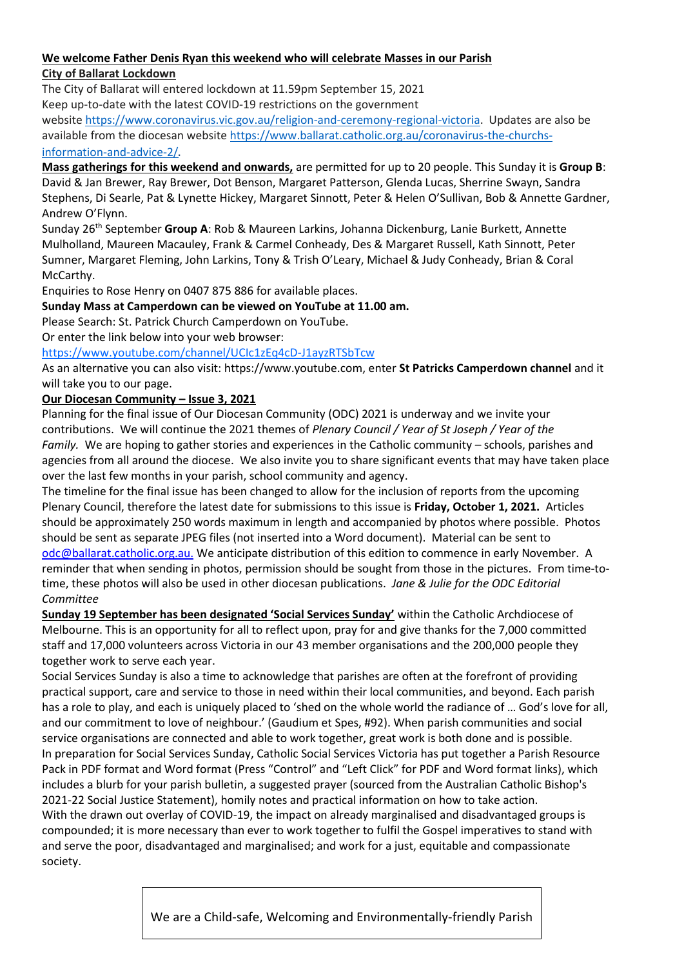#### **We welcome Father Denis Ryan this weekend who will celebrate Masses in our Parish City of Ballarat Lockdown**

The City of Ballarat will entered lockdown at 11.59pm September 15, 2021 Keep up-to-date with the latest COVID-19 restrictions on the government

website [https://www.coronavirus.vic.gov.au/religion-and-ceremony-regional-victoria.](https://www.coronavirus.vic.gov.au/religion-and-ceremony-regional-victoria) Updates are also be available from the diocesan website [https://www.ballarat.catholic.org.au/coronavirus-the-churchs](https://www.ballarat.catholic.org.au/coronavirus-the-churchs-information-and-advice-2/)[information-and-advice-2/](https://www.ballarat.catholic.org.au/coronavirus-the-churchs-information-and-advice-2/).

**Mass gatherings for this weekend and onwards,** are permitted for up to 20 people. This Sunday it is **Group B**: David & Jan Brewer, Ray Brewer, Dot Benson, Margaret Patterson, Glenda Lucas, Sherrine Swayn, Sandra Stephens, Di Searle, Pat & Lynette Hickey, Margaret Sinnott, Peter & Helen O'Sullivan, Bob & Annette Gardner, Andrew O'Flynn.

Sunday 26th September **Group A**: Rob & Maureen Larkins, Johanna Dickenburg, Lanie Burkett, Annette Mulholland, Maureen Macauley, Frank & Carmel Conheady, Des & Margaret Russell, Kath Sinnott, Peter Sumner, Margaret Fleming, John Larkins, Tony & Trish O'Leary, Michael & Judy Conheady, Brian & Coral McCarthy.

Enquiries to Rose Henry on 0407 875 886 for available places.

#### **Sunday Mass at Camperdown can be viewed on YouTube at 11.00 am.**

Please Search: St. Patrick Church Camperdown on YouTube.

Or enter the link below into your web browser:

#### <https://www.youtube.com/channel/UCIc1zEq4cD-J1ayzRTSbTcw>

As an alternative you can also visit: https://www.youtube.com, enter **St Patricks Camperdown channel** and it will take you to our page.

#### **Our Diocesan Community – Issue 3, 2021**

Planning for the final issue of Our Diocesan Community (ODC) 2021 is underway and we invite your contributions. We will continue the 2021 themes of *Plenary Council / Year of St Joseph / Year of the Family.* We are hoping to gather stories and experiences in the Catholic community – schools, parishes and agencies from all around the diocese. We also invite you to share significant events that may have taken place over the last few months in your parish, school community and agency.

The timeline for the final issue has been changed to allow for the inclusion of reports from the upcoming Plenary Council, therefore the latest date for submissions to this issue is **Friday, October 1, 2021.** Articles should be approximately 250 words maximum in length and accompanied by photos where possible. Photos should be sent as separate JPEG files (not inserted into a Word document). Material can be sent to [odc@ballarat.catholic.org.au.](mailto:odc@ballarat.catholic.org.au) We anticipate distribution of this edition to commence in early November. A reminder that when sending in photos, permission should be sought from those in the pictures. From time-totime, these photos will also be used in other diocesan publications. *Jane & Julie for the ODC Editorial Committee*

**Sunday 19 September has been designated 'Social Services Sunday'** within the Catholic Archdiocese of Melbourne. This is an opportunity for all to reflect upon, pray for and give thanks for the 7,000 committed staff and 17,000 volunteers across Victoria in our 43 member organisations and the 200,000 people they together work to serve each year.

Social Services Sunday is also a time to acknowledge that parishes are often at the forefront of providing practical support, care and service to those in need within their local communities, and beyond. Each parish has a role to play, and each is uniquely placed to 'shed on the whole world the radiance of … God's love for all, and our commitment to love of neighbour.' (Gaudium et Spes, #92). When parish communities and social service organisations are connected and able to work together, great work is both done and is possible. In preparation for Social Services Sunday, Catholic Social Services Victoria has put together a Parish Resource Pack in [PDF format](https://cam.us7.list-manage.com/track/click?u=fc5e55007fcc48e18a62679a5&id=38b2388159&e=e323dc2031) and [Word format](https://cam.us7.list-manage.com/track/click?u=fc5e55007fcc48e18a62679a5&id=7ca35aafec&e=e323dc2031) (Press "Control" and "Left Click" for PDF and Word format links), which includes a blurb for your parish bulletin, a suggested prayer (sourced from the Australian Catholic Bishop's 2021-22 Social Justice Statement), homily notes and practical information on how to take action.

With the drawn out overlay of COVID-19, the impact on already marginalised and disadvantaged groups is compounded; it is more necessary than ever to work together to fulfil the Gospel imperatives to stand with and serve the poor, disadvantaged and marginalised; and work for a just, equitable and compassionate society.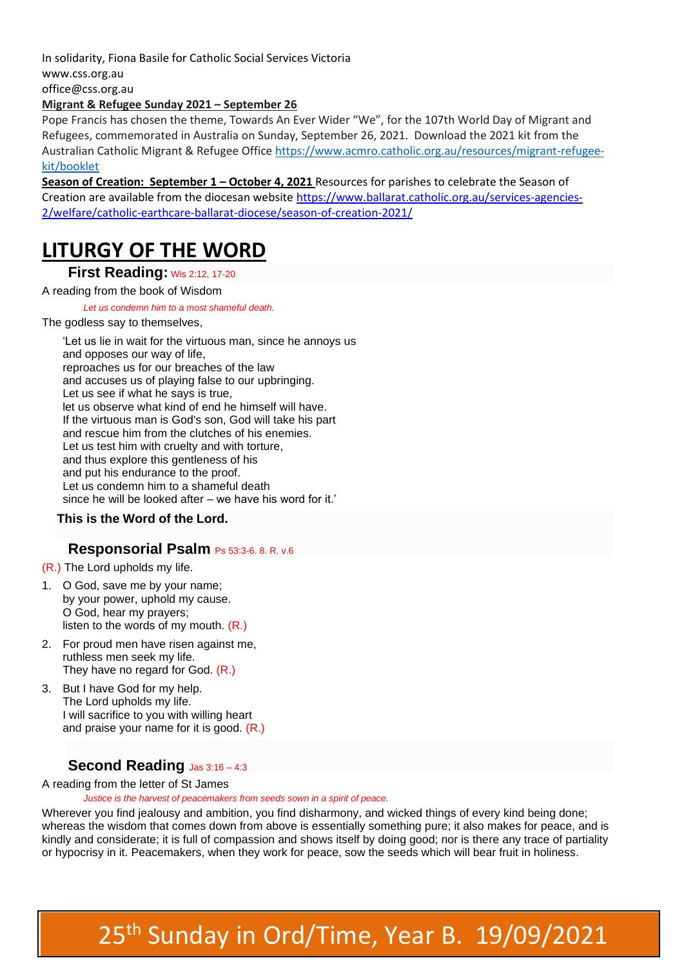In solidarity, [Fiona Basile](mailto:office@css.org.au) for Catholic Social Services Victoria [www.css.org.au](http://www.css.org.au/)

[office@css.org.au](mailto:office@css.org.au)

#### **Migrant & Refugee Sunday 2021 – September 26**

Pope Francis has chosen the theme, Towards An Ever Wider "We", for the 107th World Day of Migrant and Refugees, commemorated in Australia on Sunday, September 26, 2021. Download the 2021 kit from the Australian Catholic Migrant & Refugee Office [https://www.acmro.catholic.org.au/resources/migrant-refugee](https://www.acmro.catholic.org.au/resources/migrant-refugee-kit/booklet)[kit/booklet](https://www.acmro.catholic.org.au/resources/migrant-refugee-kit/booklet)

**Season of Creation: September 1 – October 4, 2021** Resources for parishes to celebrate the Season of Creation are available from the diocesan website [https://www.ballarat.catholic.org.au/services-agencies-](https://www.ballarat.catholic.org.au/services-agencies-2/welfare/catholic-earthcare-ballarat-diocese/season-of-creation-2021/)[2/welfare/catholic-earthcare-ballarat-diocese/season-of-creation-2021/](https://www.ballarat.catholic.org.au/services-agencies-2/welfare/catholic-earthcare-ballarat-diocese/season-of-creation-2021/)

## **LITURGY OF THE WORD**

#### **First Reading:** Wis 2:12, 17-20

#### A reading from the book of Wisdom

#### *Let us condemn him to a most shameful death.*

#### The godless say to themselves.

'Let us lie in wait for the virtuous man, since he annoys us and opposes our way of life, reproaches us for our breaches of the law and accuses us of playing false to our upbringing. Let us see if what he says is true, let us observe what kind of end he himself will have. If the virtuous man is God's son, God will take his part and rescue him from the clutches of his enemies. Let us test him with cruelty and with torture, and thus explore this gentleness of his and put his endurance to the proof. Let us condemn him to a shameful death since he will be looked after – we have his word for it.'

#### **This is the Word of the Lord.**

#### **Responsorial Psalm** Ps 53:3-6. 8. R. v.6

(R.) The Lord upholds my life.

- 1. O God, save me by your name; by your power, uphold my cause. O God, hear my prayers; listen to the words of my mouth.  $(R<sub>1</sub>)$
- 2. For proud men have risen against me, ruthless men seek my life. They have no regard for God. (R.)
- 3. But I have God for my help. The Lord upholds my life. I will sacrifice to you with willing heart and praise your name for it is good. (R.)

#### **Second Reading** Jas 3:16 – 4:3

#### A reading from the letter of St James

*Justice is the harvest of peacemakers from seeds sown in a spirit of peace.*

Wherever you find jealousy and ambition, you find disharmony, and wicked things of every kind being done; whereas the wisdom that comes down from above is essentially something pure; it also makes for peace, and is kindly and considerate; it is full of compassion and shows itself by doing good; nor is there any trace of partiality or hypocrisy in it. Peacemakers, when they work for peace, sow the seeds which will bear fruit in holiness.

## 25<sup>th</sup> Sunday in Ord/Time, Year B. 19/09/2021